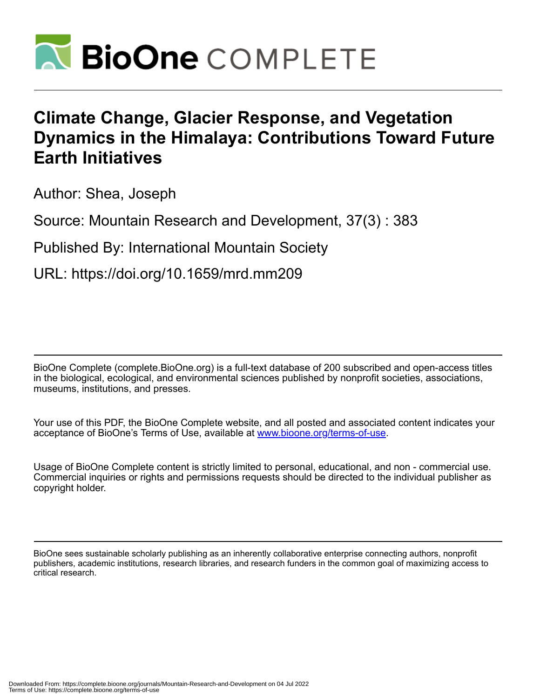

## **Climate Change, Glacier Response, and Vegetation Dynamics in the Himalaya: Contributions Toward Future Earth Initiatives**

Author: Shea, Joseph

Source: Mountain Research and Development, 37(3) : 383

Published By: International Mountain Society

URL: https://doi.org/10.1659/mrd.mm209

BioOne Complete (complete.BioOne.org) is a full-text database of 200 subscribed and open-access titles in the biological, ecological, and environmental sciences published by nonprofit societies, associations, museums, institutions, and presses.

Your use of this PDF, the BioOne Complete website, and all posted and associated content indicates your acceptance of BioOne's Terms of Use, available at www.bioone.org/terms-of-use.

Usage of BioOne Complete content is strictly limited to personal, educational, and non - commercial use. Commercial inquiries or rights and permissions requests should be directed to the individual publisher as copyright holder.

BioOne sees sustainable scholarly publishing as an inherently collaborative enterprise connecting authors, nonprofit publishers, academic institutions, research libraries, and research funders in the common goal of maximizing access to critical research.